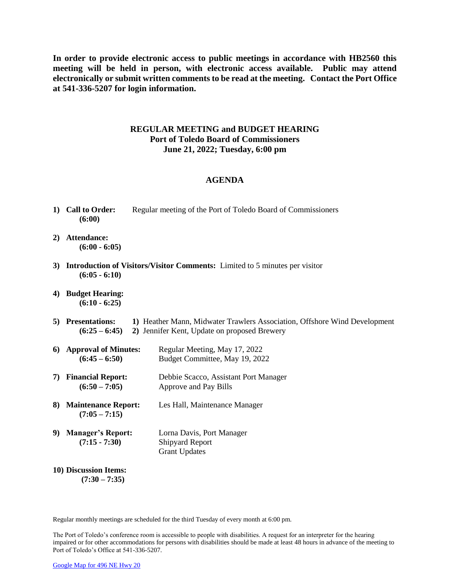**In order to provide electronic access to public meetings in accordance with HB2560 this meeting will be held in person, with electronic access available. Public may attend electronically or submit written comments to be read at the meeting. Contact the Port Office at 541-336-5207 for login information.**

## **REGULAR MEETING and BUDGET HEARING Port of Toledo Board of Commissioners June 21, 2022; Tuesday, 6:00 pm**

## **AGENDA**

- **1) Call to Order:** Regular meeting of the Port of Toledo Board of Commissioners **(6:00)**
- **2) Attendance: (6:00 - 6:05)**
- **3) Introduction of Visitors/Visitor Comments:** Limited to 5 minutes per visitor **(6:05 - 6:10)**
- **4) Budget Hearing: (6:10 - 6:25)**
- **5) Presentations: 1)** Heather Mann, Midwater Trawlers Association, Offshore Wind Development **(6:25 – 6:45) 2)** Jennifer Kent, Update on proposed Brewery
- **6) Approval of Minutes:** Regular Meeting, May 17, 2022 **(6:45 – 6:50)** Budget Committee, May 19, 2022
- **7) Financial Report:** Debbie Scacco, Assistant Port Manager **(6:50 – 7:05)** Approve and Pay Bills
- **8) Maintenance Report:** Les Hall, Maintenance Manager **(7:05 – 7:15)**
- **9) Manager's Report:** Lorna Davis, Port Manager **(7:15 - 7:30)** Shipyard Report Grant Updates
- **10) Discussion Items: (7:30 – 7:35)**

Regular monthly meetings are scheduled for the third Tuesday of every month at 6:00 pm.

The Port of Toledo's conference room is accessible to people with disabilities. A request for an interpreter for the hearing impaired or for other accommodations for persons with disabilities should be made at least 48 hours in advance of the meeting to Port of Toledo's Office at 541-336-5207.